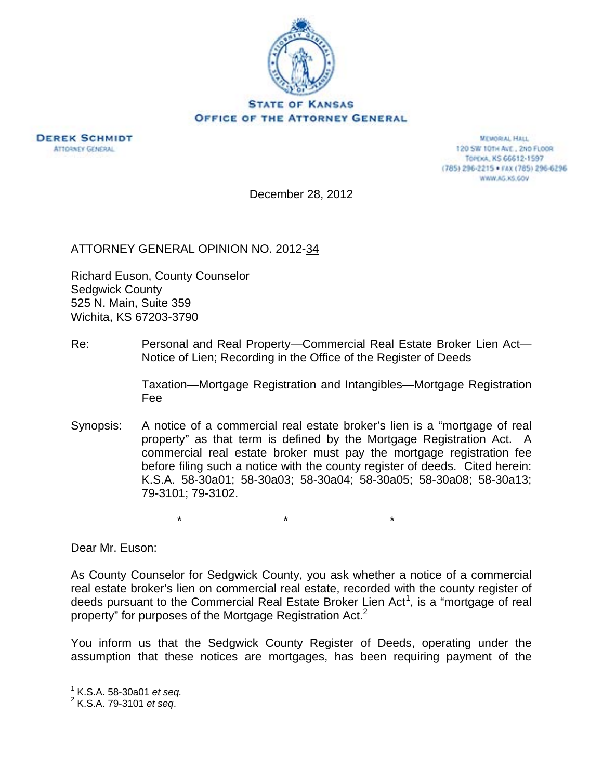



**MEMORIAL HALL** 120 SW 101H ALE., 2ND FLOOR TOPEXA, KS 66612-1597 (785) 296-2215 · FAX (785) 296-6296 WWW.AG.XS.GOV

December 28, 2012

ATTORNEY GENERAL OPINION NO. 2012-34

Richard Euson, County Counselor Sedgwick County 525 N. Main, Suite 359 Wichita, KS 67203-3790

Re: Personal and Real Property—Commercial Real Estate Broker Lien Act— Notice of Lien; Recording in the Office of the Register of Deeds

> Taxation—Mortgage Registration and Intangibles—Mortgage Registration Fee

Synopsis: A notice of a commercial real estate broker's lien is a "mortgage of real property" as that term is defined by the Mortgage Registration Act. A commercial real estate broker must pay the mortgage registration fee before filing such a notice with the county register of deeds. Cited herein: K.S.A. 58-30a01; 58-30a03; 58-30a04; 58-30a05; 58-30a08; 58-30a13; 79-3101; 79-3102.

 $\star$  \*  $\star$  \*  $\star$ 

Dear Mr. Euson:

As County Counselor for Sedgwick County, you ask whether a notice of a commercial real estate broker's lien on commercial real estate, recorded with the county register of deeds pursuant to the Commercial Real Estate Broker Lien Act<sup>1</sup>, is a "mortgage of real property" for purposes of the Mortgage Registration Act.<sup>2</sup>

You inform us that the Sedgwick County Register of Deeds, operating under the assumption that these notices are mortgages, has been requiring payment of the

 $\overline{a}$ 

<sup>&</sup>lt;sup>1</sup> K.S.A. 58-30a01 *et seq.*<br><sup>2</sup> K.S.A. 70.3101 et seg.

K.S.A. 79-3101 *et seq*.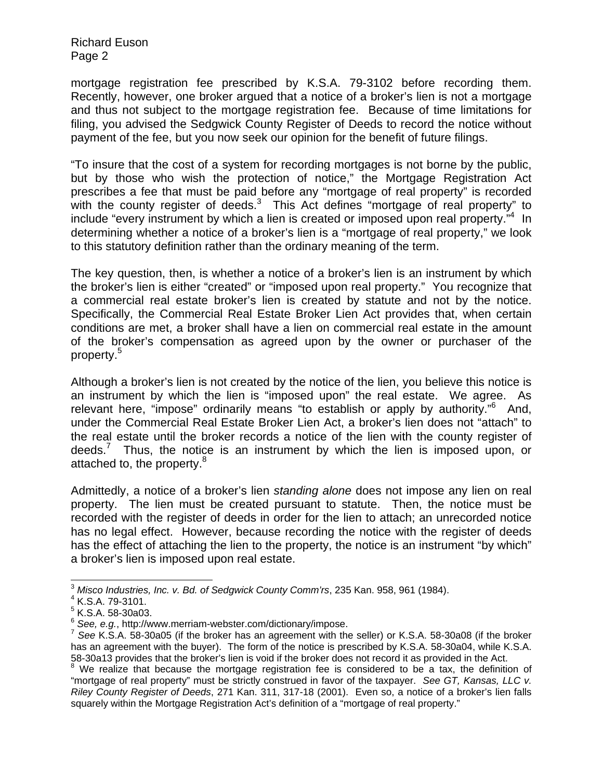mortgage registration fee prescribed by K.S.A. 79-3102 before recording them. Recently, however, one broker argued that a notice of a broker's lien is not a mortgage and thus not subject to the mortgage registration fee. Because of time limitations for filing, you advised the Sedgwick County Register of Deeds to record the notice without payment of the fee, but you now seek our opinion for the benefit of future filings.

"To insure that the cost of a system for recording mortgages is not borne by the public, but by those who wish the protection of notice," the Mortgage Registration Act prescribes a fee that must be paid before any "mortgage of real property" is recorded with the county register of deeds. $3$  This Act defines "mortgage of real property" to include "every instrument by which a lien is created or imposed upon real property."<sup>4</sup> In determining whether a notice of a broker's lien is a "mortgage of real property," we look to this statutory definition rather than the ordinary meaning of the term.

The key question, then, is whether a notice of a broker's lien is an instrument by which the broker's lien is either "created" or "imposed upon real property." You recognize that a commercial real estate broker's lien is created by statute and not by the notice. Specifically, the Commercial Real Estate Broker Lien Act provides that, when certain conditions are met, a broker shall have a lien on commercial real estate in the amount of the broker's compensation as agreed upon by the owner or purchaser of the property.<sup>5</sup>

Although a broker's lien is not created by the notice of the lien, you believe this notice is an instrument by which the lien is "imposed upon" the real estate. We agree. As relevant here, "impose" ordinarily means "to establish or apply by authority."<sup>6</sup> And, under the Commercial Real Estate Broker Lien Act, a broker's lien does not "attach" to the real estate until the broker records a notice of the lien with the county register of deeds.<sup>7</sup> Thus, the notice is an instrument by which the lien is imposed upon, or attached to, the property.<sup>8</sup>

Admittedly, a notice of a broker's lien *standing alone* does not impose any lien on real property. The lien must be created pursuant to statute. Then, the notice must be recorded with the register of deeds in order for the lien to attach; an unrecorded notice has no legal effect. However, because recording the notice with the register of deeds has the effect of attaching the lien to the property, the notice is an instrument "by which" a broker's lien is imposed upon real estate.

 $\overline{a}$ 

<sup>3</sup> *Misco Industries, Inc. v. Bd. of Sedgwick County Comm'rs*, 235 Kan. 958, 961 (1984). 4

K.S.A. 79-3101.

 $<sup>5</sup>$  K.S.A. 58-30a03.</sup>

<sup>&</sup>lt;sup>6</sup> See, e.g., http://www.merriam-webster.com/dictionary/impose.<br><sup>7</sup> See K.S.A. 58-30a05 (if the broker has an agreement with the seller) or K.S.A. 58-30a08 (if the broker has an agreement with the buyer). The form of the notice is prescribed by K.S.A. 58-30a04, while K.S.A. 58-30a13 provides that the broker's lien is void if the broker does not record it as provided in the Act.<br><sup>8</sup> We realize that because the mortgage registration fee is considered to be a tax, the definition of

<sup>&</sup>quot;mortgage of real property" must be strictly construed in favor of the taxpayer. *See GT, Kansas, LLC v. Riley County Register of Deeds*, 271 Kan. 311, 317-18 (2001). Even so, a notice of a broker's lien falls squarely within the Mortgage Registration Act's definition of a "mortgage of real property."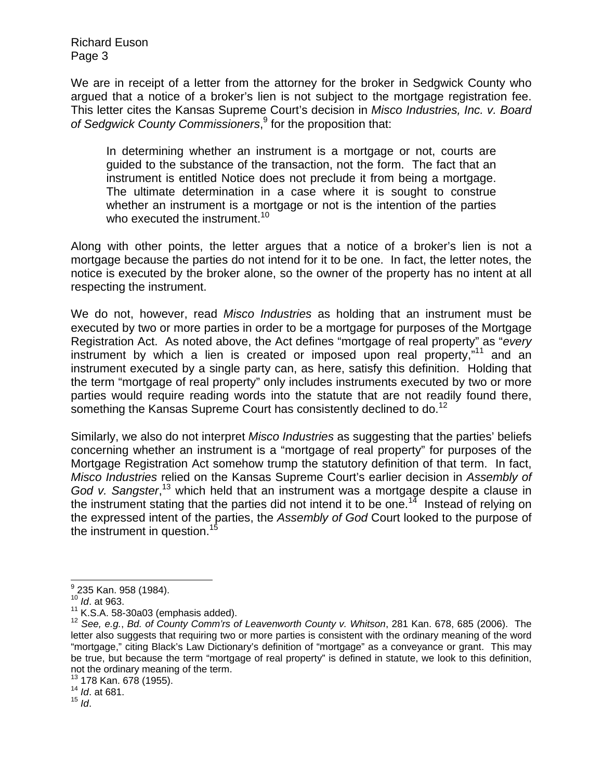We are in receipt of a letter from the attorney for the broker in Sedgwick County who argued that a notice of a broker's lien is not subject to the mortgage registration fee. This letter cites the Kansas Supreme Court's decision in *Misco Industries, Inc. v. Board*  of Sedgwick County Commissioners,<sup>9</sup> for the proposition that:

In determining whether an instrument is a mortgage or not, courts are guided to the substance of the transaction, not the form. The fact that an instrument is entitled Notice does not preclude it from being a mortgage. The ultimate determination in a case where it is sought to construe whether an instrument is a mortgage or not is the intention of the parties who executed the instrument.<sup>10</sup>

Along with other points, the letter argues that a notice of a broker's lien is not a mortgage because the parties do not intend for it to be one. In fact, the letter notes, the notice is executed by the broker alone, so the owner of the property has no intent at all respecting the instrument.

We do not, however, read *Misco Industries* as holding that an instrument must be executed by two or more parties in order to be a mortgage for purposes of the Mortgage Registration Act. As noted above, the Act defines "mortgage of real property" as "*every* instrument by which a lien is created or imposed upon real property, $11$  and an instrument executed by a single party can, as here, satisfy this definition. Holding that the term "mortgage of real property" only includes instruments executed by two or more parties would require reading words into the statute that are not readily found there, something the Kansas Supreme Court has consistently declined to do.<sup>12</sup>

Similarly, we also do not interpret *Misco Industries* as suggesting that the parties' beliefs concerning whether an instrument is a "mortgage of real property" for purposes of the Mortgage Registration Act somehow trump the statutory definition of that term. In fact, *Misco Industries* relied on the Kansas Supreme Court's earlier decision in *Assembly of*  God v. Sangster,<sup>13</sup> which held that an instrument was a mortgage despite a clause in the instrument stating that the parties did not intend it to be one.<sup>14</sup> Instead of relying on the expressed intent of the parties, the *Assembly of God* Court looked to the purpose of the instrument in question.<sup>15</sup>

<sup>13</sup> 178 Kan. 678 (1955).

<sup>14</sup> *Id.* at 681.

<sup>&</sup>lt;u>。</u><br>9 235 Kan. 958 (1984).

<sup>&</sup>lt;sup>10</sup> *Id.* at 963.<br><sup>11</sup> K.S.A. 58-30a03 (emphasis added).

<sup>&</sup>lt;sup>12</sup> See, e.g., Bd. of County Comm'rs of Leavenworth County v. Whitson, 281 Kan. 678, 685 (2006). The letter also suggests that requiring two or more parties is consistent with the ordinary meaning of the word "mortgage," citing Black's Law Dictionary's definition of "mortgage" as a conveyance or grant. This may be true, but because the term "mortgage of real property" is defined in statute, we look to this definition, not the ordinary meaning of the term.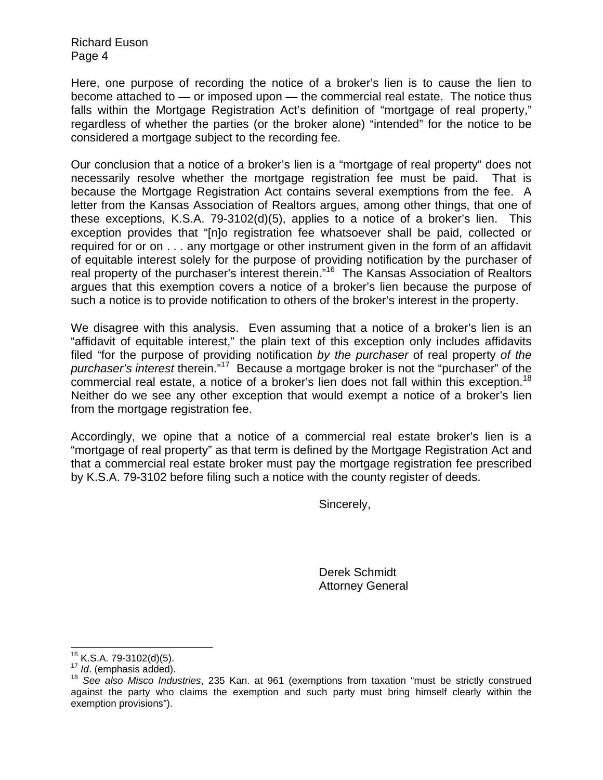Here, one purpose of recording the notice of a broker's lien is to cause the lien to become attached to — or imposed upon — the commercial real estate. The notice thus falls within the Mortgage Registration Act's definition of "mortgage of real property," regardless of whether the parties (or the broker alone) "intended" for the notice to be considered a mortgage subject to the recording fee.

Our conclusion that a notice of a broker's lien is a "mortgage of real property" does not necessarily resolve whether the mortgage registration fee must be paid. That is because the Mortgage Registration Act contains several exemptions from the fee. A letter from the Kansas Association of Realtors argues, among other things, that one of these exceptions, K.S.A. 79-3102(d)(5), applies to a notice of a broker's lien. This exception provides that "[n]o registration fee whatsoever shall be paid, collected or required for or on . . . any mortgage or other instrument given in the form of an affidavit of equitable interest solely for the purpose of providing notification by the purchaser of real property of the purchaser's interest therein."16 The Kansas Association of Realtors argues that this exemption covers a notice of a broker's lien because the purpose of such a notice is to provide notification to others of the broker's interest in the property.

We disagree with this analysis. Even assuming that a notice of a broker's lien is an "affidavit of equitable interest," the plain text of this exception only includes affidavits filed "for the purpose of providing notification *by the purchaser* of real property *of the purchaser's interest* therein."17 Because a mortgage broker is not the "purchaser" of the commercial real estate, a notice of a broker's lien does not fall within this exception.<sup>18</sup> Neither do we see any other exception that would exempt a notice of a broker's lien from the mortgage registration fee.

Accordingly, we opine that a notice of a commercial real estate broker's lien is a "mortgage of real property" as that term is defined by the Mortgage Registration Act and that a commercial real estate broker must pay the mortgage registration fee prescribed by K.S.A. 79-3102 before filing such a notice with the county register of deeds.

Sincerely,

Derek Schmidt Attorney General

 $16$  K.S.A. 79-3102(d)(5).

<sup>17</sup> Id. C.S.A. 79-3102(d)(5).<br><sup>17</sup> Id. (emphasis added).<br><sup>18</sup> See also Misco Industries, 235 Kan. at 961 (exemptions from taxation "must be strictly construed against the party who claims the exemption and such party must bring himself clearly within the exemption provisions").